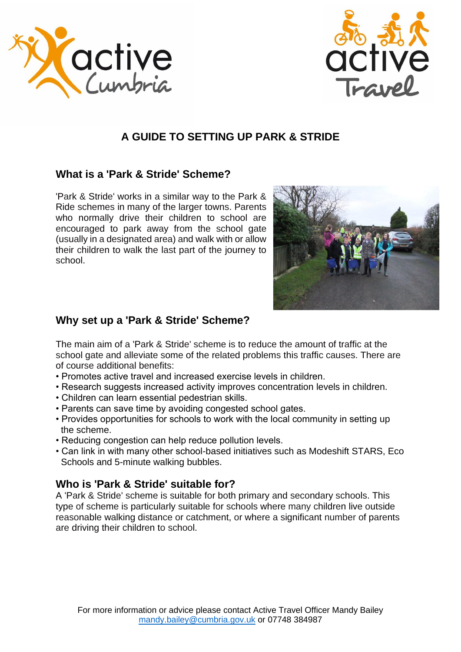



# **A GUIDE TO SETTING UP PARK & STRIDE**

### **What is a 'Park & Stride' Scheme?**

'Park & Stride' works in a similar way to the Park & Ride schemes in many of the larger towns. Parents who normally drive their children to school are encouraged to park away from the school gate (usually in a designated area) and walk with or allow their children to walk the last part of the journey to school.



#### **Why set up a 'Park & Stride' Scheme?**

The main aim of a 'Park & Stride' scheme is to reduce the amount of traffic at the school gate and alleviate some of the related problems this traffic causes. There are of course additional benefits:

- Promotes active travel and increased exercise levels in children.
- Research suggests increased activity improves concentration levels in children.
- Children can learn essential pedestrian skills.
- Parents can save time by avoiding congested school gates.
- Provides opportunities for schools to work with the local community in setting up the scheme.
- Reducing congestion can help reduce pollution levels.
- Can link in with many other school-based initiatives such as Modeshift STARS, Eco Schools and 5-minute walking bubbles.

#### **Who is 'Park & Stride' suitable for?**

A 'Park & Stride' scheme is suitable for both primary and secondary schools. This type of scheme is particularly suitable for schools where many children live outside reasonable walking distance or catchment, or where a significant number of parents are driving their children to school.